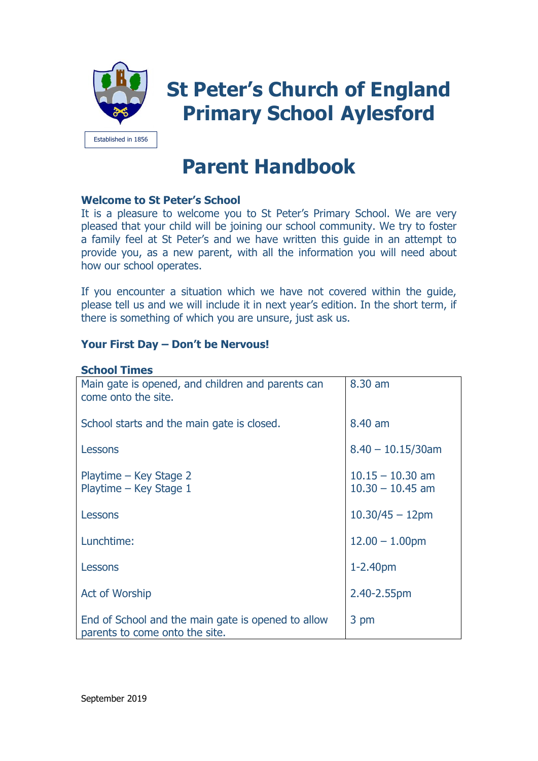

# **Parent Handbook**

# **Welcome to St Peter's School**

It is a pleasure to welcome you to St Peter's Primary School. We are very pleased that your child will be joining our school community. We try to foster a family feel at St Peter's and we have written this guide in an attempt to provide you, as a new parent, with all the information you will need about how our school operates.

If you encounter a situation which we have not covered within the guide, please tell us and we will include it in next year's edition. In the short term, if there is something of which you are unsure, just ask us.

# **Your First Day – Don't be Nervous!**

# **School Times**

| Main gate is opened, and children and parents can<br>come onto the site.             | 8.30 am                                  |
|--------------------------------------------------------------------------------------|------------------------------------------|
| School starts and the main gate is closed.                                           | 8.40 am                                  |
| Lessons                                                                              | $8.40 - 10.15/30$ am                     |
| Playtime – Key Stage 2<br>Playtime - Key Stage 1                                     | $10.15 - 10.30$ am<br>$10.30 - 10.45$ am |
| Lessons                                                                              | $10.30/45 - 12$ pm                       |
| Lunchtime:                                                                           | $12.00 - 1.00$ pm                        |
| Lessons                                                                              | 1-2.40pm                                 |
| <b>Act of Worship</b>                                                                | 2.40-2.55pm                              |
| End of School and the main gate is opened to allow<br>parents to come onto the site. | 3 pm                                     |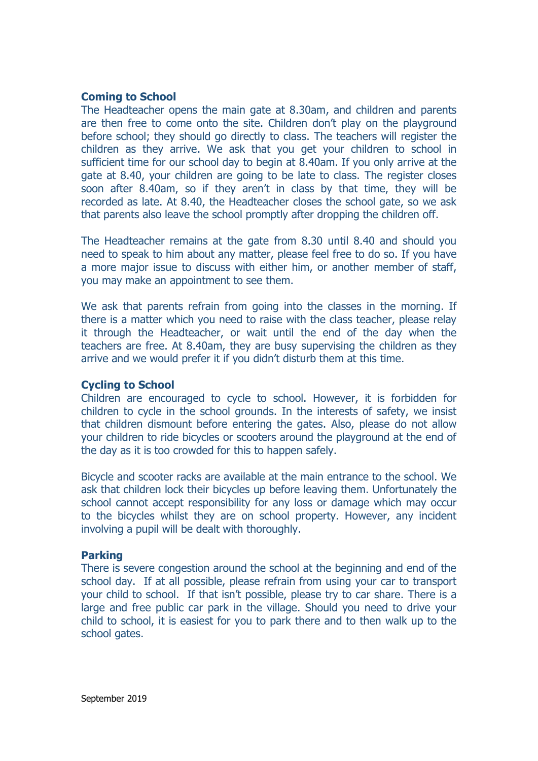# **Coming to School**

The Headteacher opens the main gate at 8.30am, and children and parents are then free to come onto the site. Children don't play on the playground before school; they should go directly to class. The teachers will register the children as they arrive. We ask that you get your children to school in sufficient time for our school day to begin at 8.40am. If you only arrive at the gate at 8.40, your children are going to be late to class. The register closes soon after 8.40am, so if they aren't in class by that time, they will be recorded as late. At 8.40, the Headteacher closes the school gate, so we ask that parents also leave the school promptly after dropping the children off.

The Headteacher remains at the gate from 8.30 until 8.40 and should you need to speak to him about any matter, please feel free to do so. If you have a more major issue to discuss with either him, or another member of staff, you may make an appointment to see them.

We ask that parents refrain from going into the classes in the morning. If there is a matter which you need to raise with the class teacher, please relay it through the Headteacher, or wait until the end of the day when the teachers are free. At 8.40am, they are busy supervising the children as they arrive and we would prefer it if you didn't disturb them at this time.

#### **Cycling to School**

Children are encouraged to cycle to school. However, it is forbidden for children to cycle in the school grounds. In the interests of safety, we insist that children dismount before entering the gates. Also, please do not allow your children to ride bicycles or scooters around the playground at the end of the day as it is too crowded for this to happen safely.

Bicycle and scooter racks are available at the main entrance to the school. We ask that children lock their bicycles up before leaving them. Unfortunately the school cannot accept responsibility for any loss or damage which may occur to the bicycles whilst they are on school property. However, any incident involving a pupil will be dealt with thoroughly.

#### **Parking**

There is severe congestion around the school at the beginning and end of the school day. If at all possible, please refrain from using your car to transport your child to school. If that isn't possible, please try to car share. There is a large and free public car park in the village. Should you need to drive your child to school, it is easiest for you to park there and to then walk up to the school gates.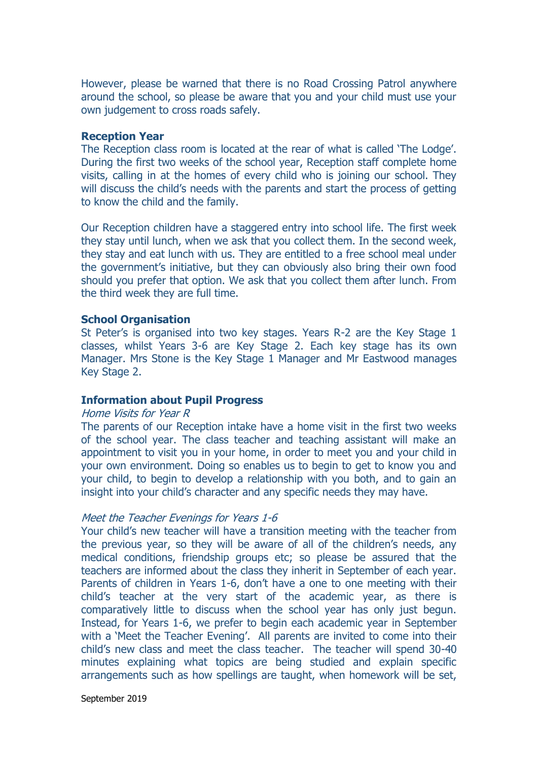However, please be warned that there is no Road Crossing Patrol anywhere around the school, so please be aware that you and your child must use your own judgement to cross roads safely.

#### **Reception Year**

The Reception class room is located at the rear of what is called 'The Lodge'. During the first two weeks of the school year, Reception staff complete home visits, calling in at the homes of every child who is joining our school. They will discuss the child's needs with the parents and start the process of getting to know the child and the family.

Our Reception children have a staggered entry into school life. The first week they stay until lunch, when we ask that you collect them. In the second week, they stay and eat lunch with us. They are entitled to a free school meal under the government's initiative, but they can obviously also bring their own food should you prefer that option. We ask that you collect them after lunch. From the third week they are full time.

#### **School Organisation**

St Peter's is organised into two key stages. Years R-2 are the Key Stage 1 classes, whilst Years 3-6 are Key Stage 2. Each key stage has its own Manager. Mrs Stone is the Key Stage 1 Manager and Mr Eastwood manages Key Stage 2.

#### **Information about Pupil Progress**

#### Home Visits for Year R

The parents of our Reception intake have a home visit in the first two weeks of the school year. The class teacher and teaching assistant will make an appointment to visit you in your home, in order to meet you and your child in your own environment. Doing so enables us to begin to get to know you and your child, to begin to develop a relationship with you both, and to gain an insight into your child's character and any specific needs they may have.

#### Meet the Teacher Evenings for Years 1-6

Your child's new teacher will have a transition meeting with the teacher from the previous year, so they will be aware of all of the children's needs, any medical conditions, friendship groups etc; so please be assured that the teachers are informed about the class they inherit in September of each year. Parents of children in Years 1-6, don't have a one to one meeting with their child's teacher at the very start of the academic year, as there is comparatively little to discuss when the school year has only just begun. Instead, for Years 1-6, we prefer to begin each academic year in September with a 'Meet the Teacher Evening'. All parents are invited to come into their child's new class and meet the class teacher. The teacher will spend 30-40 minutes explaining what topics are being studied and explain specific arrangements such as how spellings are taught, when homework will be set,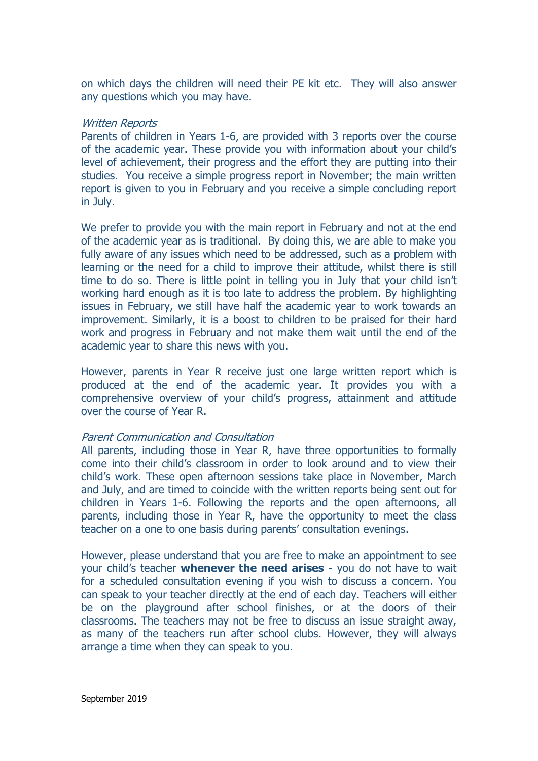on which days the children will need their PE kit etc. They will also answer any questions which you may have.

#### Written Reports

Parents of children in Years 1-6, are provided with 3 reports over the course of the academic year. These provide you with information about your child's level of achievement, their progress and the effort they are putting into their studies. You receive a simple progress report in November; the main written report is given to you in February and you receive a simple concluding report in July.

We prefer to provide you with the main report in February and not at the end of the academic year as is traditional. By doing this, we are able to make you fully aware of any issues which need to be addressed, such as a problem with learning or the need for a child to improve their attitude, whilst there is still time to do so. There is little point in telling you in July that your child isn't working hard enough as it is too late to address the problem. By highlighting issues in February, we still have half the academic year to work towards an improvement. Similarly, it is a boost to children to be praised for their hard work and progress in February and not make them wait until the end of the academic year to share this news with you.

However, parents in Year R receive just one large written report which is produced at the end of the academic year. It provides you with a comprehensive overview of your child's progress, attainment and attitude over the course of Year R.

#### Parent Communication and Consultation

All parents, including those in Year R, have three opportunities to formally come into their child's classroom in order to look around and to view their child's work. These open afternoon sessions take place in November, March and July, and are timed to coincide with the written reports being sent out for children in Years 1-6. Following the reports and the open afternoons, all parents, including those in Year R, have the opportunity to meet the class teacher on a one to one basis during parents' consultation evenings.

However, please understand that you are free to make an appointment to see your child's teacher **whenever the need arises** - you do not have to wait for a scheduled consultation evening if you wish to discuss a concern. You can speak to your teacher directly at the end of each day. Teachers will either be on the playground after school finishes, or at the doors of their classrooms. The teachers may not be free to discuss an issue straight away, as many of the teachers run after school clubs. However, they will always arrange a time when they can speak to you.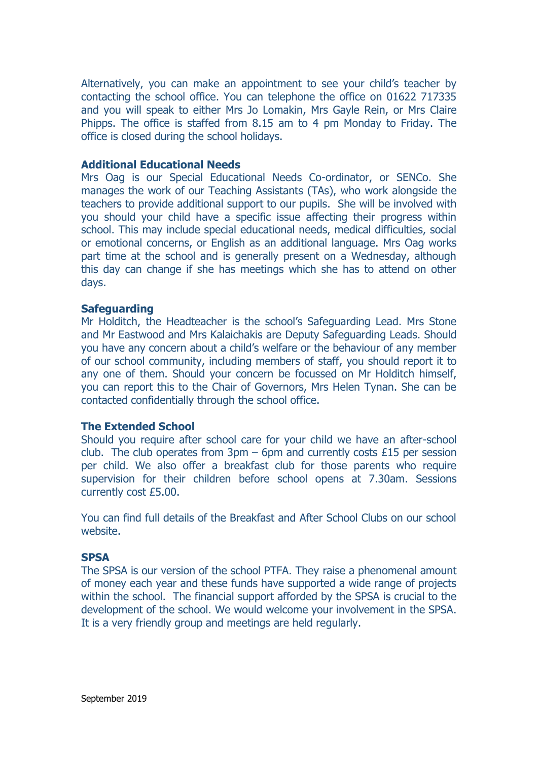Alternatively, you can make an appointment to see your child's teacher by contacting the school office. You can telephone the office on 01622 717335 and you will speak to either Mrs Jo Lomakin, Mrs Gayle Rein, or Mrs Claire Phipps. The office is staffed from 8.15 am to 4 pm Monday to Friday. The office is closed during the school holidays.

# **Additional Educational Needs**

Mrs Oag is our Special Educational Needs Co-ordinator, or SENCo. She manages the work of our Teaching Assistants (TAs), who work alongside the teachers to provide additional support to our pupils. She will be involved with you should your child have a specific issue affecting their progress within school. This may include special educational needs, medical difficulties, social or emotional concerns, or English as an additional language. Mrs Oag works part time at the school and is generally present on a Wednesday, although this day can change if she has meetings which she has to attend on other days.

# **Safeguarding**

Mr Holditch, the Headteacher is the school's Safeguarding Lead. Mrs Stone and Mr Eastwood and Mrs Kalaichakis are Deputy Safeguarding Leads. Should you have any concern about a child's welfare or the behaviour of any member of our school community, including members of staff, you should report it to any one of them. Should your concern be focussed on Mr Holditch himself, you can report this to the Chair of Governors, Mrs Helen Tynan. She can be contacted confidentially through the school office.

# **The Extended School**

Should you require after school care for your child we have an after-school club. The club operates from  $3pm - 6pm$  and currently costs £15 per session per child. We also offer a breakfast club for those parents who require supervision for their children before school opens at 7.30am. Sessions currently cost £5.00.

You can find full details of the Breakfast and After School Clubs on our school website.

#### **SPSA**

The SPSA is our version of the school PTFA. They raise a phenomenal amount of money each year and these funds have supported a wide range of projects within the school. The financial support afforded by the SPSA is crucial to the development of the school. We would welcome your involvement in the SPSA. It is a very friendly group and meetings are held regularly.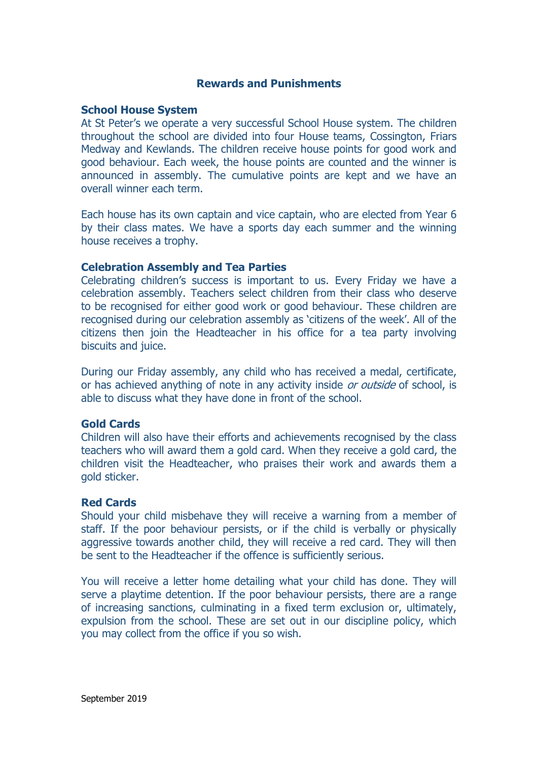# **Rewards and Punishments**

#### **School House System**

At St Peter's we operate a very successful School House system. The children throughout the school are divided into four House teams, Cossington, Friars Medway and Kewlands. The children receive house points for good work and good behaviour. Each week, the house points are counted and the winner is announced in assembly. The cumulative points are kept and we have an overall winner each term.

Each house has its own captain and vice captain, who are elected from Year 6 by their class mates. We have a sports day each summer and the winning house receives a trophy.

#### **Celebration Assembly and Tea Parties**

Celebrating children's success is important to us. Every Friday we have a celebration assembly. Teachers select children from their class who deserve to be recognised for either good work or good behaviour. These children are recognised during our celebration assembly as 'citizens of the week'. All of the citizens then join the Headteacher in his office for a tea party involving biscuits and juice.

During our Friday assembly, any child who has received a medal, certificate, or has achieved anything of note in any activity inside or outside of school, is able to discuss what they have done in front of the school.

#### **Gold Cards**

Children will also have their efforts and achievements recognised by the class teachers who will award them a gold card. When they receive a gold card, the children visit the Headteacher, who praises their work and awards them a gold sticker.

#### **Red Cards**

Should your child misbehave they will receive a warning from a member of staff. If the poor behaviour persists, or if the child is verbally or physically aggressive towards another child, they will receive a red card. They will then be sent to the Headteacher if the offence is sufficiently serious.

You will receive a letter home detailing what your child has done. They will serve a playtime detention. If the poor behaviour persists, there are a range of increasing sanctions, culminating in a fixed term exclusion or, ultimately, expulsion from the school. These are set out in our discipline policy, which you may collect from the office if you so wish.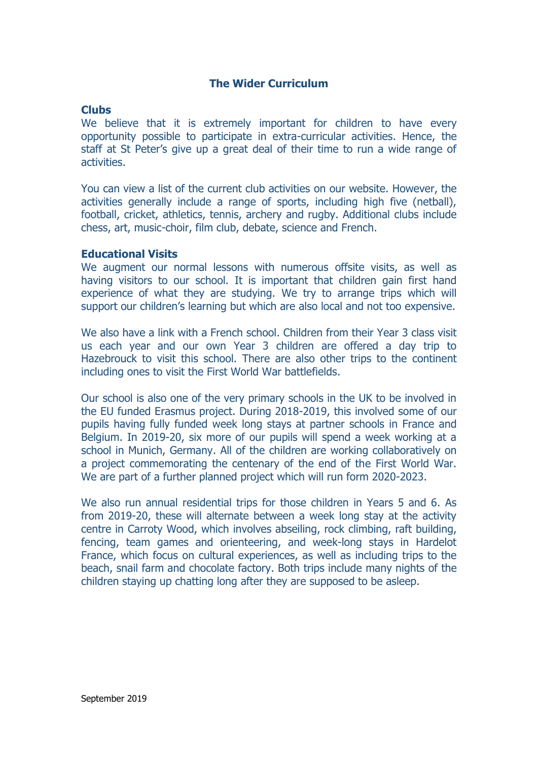# **The Wider Curriculum**

# **Clubs**

We believe that it is extremely important for children to have every opportunity possible to participate in extra-curricular activities. Hence, the staff at St Peter's give up a great deal of their time to run a wide range of activities.

You can view a list of the current club activities on our website. However, the activities generally include a range of sports, including high five (netball), football, cricket, athletics, tennis, archery and rugby. Additional clubs include chess, art, music-choir, film club, debate, science and French.

#### **Educational Visits**

We augment our normal lessons with numerous offsite visits, as well as having visitors to our school. It is important that children gain first hand experience of what they are studying. We try to arrange trips which will support our children's learning but which are also local and not too expensive.

We also have a link with a French school. Children from their Year 3 class visit us each year and our own Year 3 children are offered a day trip to Hazebrouck to visit this school. There are also other trips to the continent including ones to visit the First World War battlefields.

Our school is also one of the very primary schools in the UK to be involved in the EU funded Erasmus project. During 2018-2019, this involved some of our pupils having fully funded week long stays at partner schools in France and Belgium. In 2019-20, six more of our pupils will spend a week working at a school in Munich, Germany. All of the children are working collaboratively on a project commemorating the centenary of the end of the First World War. We are part of a further planned project which will run form 2020-2023.

We also run annual residential trips for those children in Years 5 and 6. As from 2019-20, these will alternate between a week long stay at the activity centre in Carroty Wood, which involves abseiling, rock climbing, raft building, fencing, team games and orienteering, and week-long stays in Hardelot France, which focus on cultural experiences, as well as including trips to the beach, snail farm and chocolate factory. Both trips include many nights of the children staying up chatting long after they are supposed to be asleep.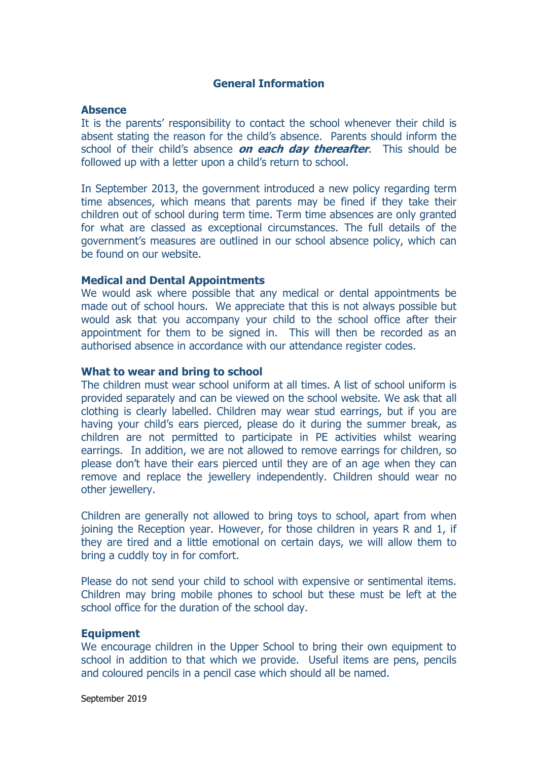# **General Information**

#### **Absence**

It is the parents' responsibility to contact the school whenever their child is absent stating the reason for the child's absence. Parents should inform the school of their child's absence **on each day thereafter**. This should be followed up with a letter upon a child's return to school.

In September 2013, the government introduced a new policy regarding term time absences, which means that parents may be fined if they take their children out of school during term time. Term time absences are only granted for what are classed as exceptional circumstances. The full details of the government's measures are outlined in our school absence policy, which can be found on our website.

#### **Medical and Dental Appointments**

We would ask where possible that any medical or dental appointments be made out of school hours. We appreciate that this is not always possible but would ask that you accompany your child to the school office after their appointment for them to be signed in. This will then be recorded as an authorised absence in accordance with our attendance register codes.

# **What to wear and bring to school**

The children must wear school uniform at all times. A list of school uniform is provided separately and can be viewed on the school website. We ask that all clothing is clearly labelled. Children may wear stud earrings, but if you are having your child's ears pierced, please do it during the summer break, as children are not permitted to participate in PE activities whilst wearing earrings. In addition, we are not allowed to remove earrings for children, so please don't have their ears pierced until they are of an age when they can remove and replace the jewellery independently. Children should wear no other jewellery.

Children are generally not allowed to bring toys to school, apart from when joining the Reception year. However, for those children in years R and 1, if they are tired and a little emotional on certain days, we will allow them to bring a cuddly toy in for comfort.

Please do not send your child to school with expensive or sentimental items. Children may bring mobile phones to school but these must be left at the school office for the duration of the school day.

#### **Equipment**

We encourage children in the Upper School to bring their own equipment to school in addition to that which we provide. Useful items are pens, pencils and coloured pencils in a pencil case which should all be named.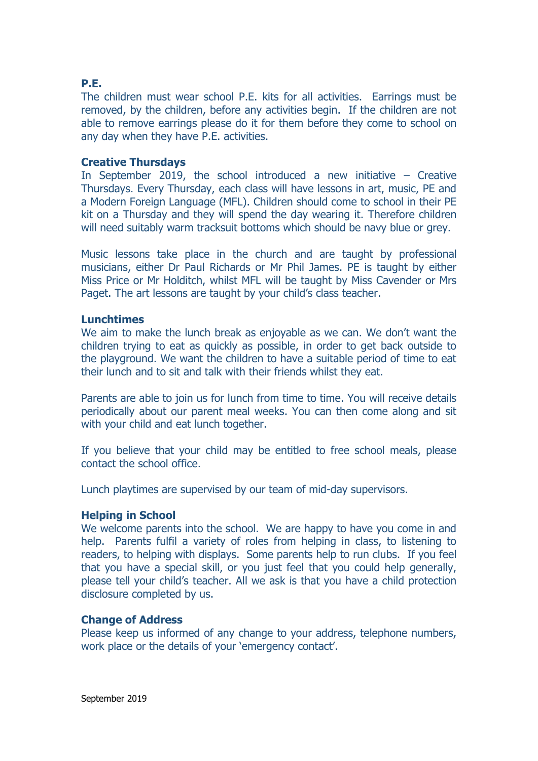# **P.E.**

The children must wear school P.E. kits for all activities. Earrings must be removed, by the children, before any activities begin. If the children are not able to remove earrings please do it for them before they come to school on any day when they have P.E. activities.

#### **Creative Thursdays**

In September 2019, the school introduced a new initiative – Creative Thursdays. Every Thursday, each class will have lessons in art, music, PE and a Modern Foreign Language (MFL). Children should come to school in their PE kit on a Thursday and they will spend the day wearing it. Therefore children will need suitably warm tracksuit bottoms which should be navy blue or grey.

Music lessons take place in the church and are taught by professional musicians, either Dr Paul Richards or Mr Phil James. PE is taught by either Miss Price or Mr Holditch, whilst MFL will be taught by Miss Cavender or Mrs Paget. The art lessons are taught by your child's class teacher.

#### **Lunchtimes**

We aim to make the lunch break as enjoyable as we can. We don't want the children trying to eat as quickly as possible, in order to get back outside to the playground. We want the children to have a suitable period of time to eat their lunch and to sit and talk with their friends whilst they eat.

Parents are able to join us for lunch from time to time. You will receive details periodically about our parent meal weeks. You can then come along and sit with your child and eat lunch together.

If you believe that your child may be entitled to free school meals, please contact the school office.

Lunch playtimes are supervised by our team of mid-day supervisors.

#### **Helping in School**

We welcome parents into the school. We are happy to have you come in and help. Parents fulfil a variety of roles from helping in class, to listening to readers, to helping with displays. Some parents help to run clubs. If you feel that you have a special skill, or you just feel that you could help generally, please tell your child's teacher. All we ask is that you have a child protection disclosure completed by us.

## **Change of Address**

Please keep us informed of any change to your address, telephone numbers, work place or the details of your 'emergency contact'.